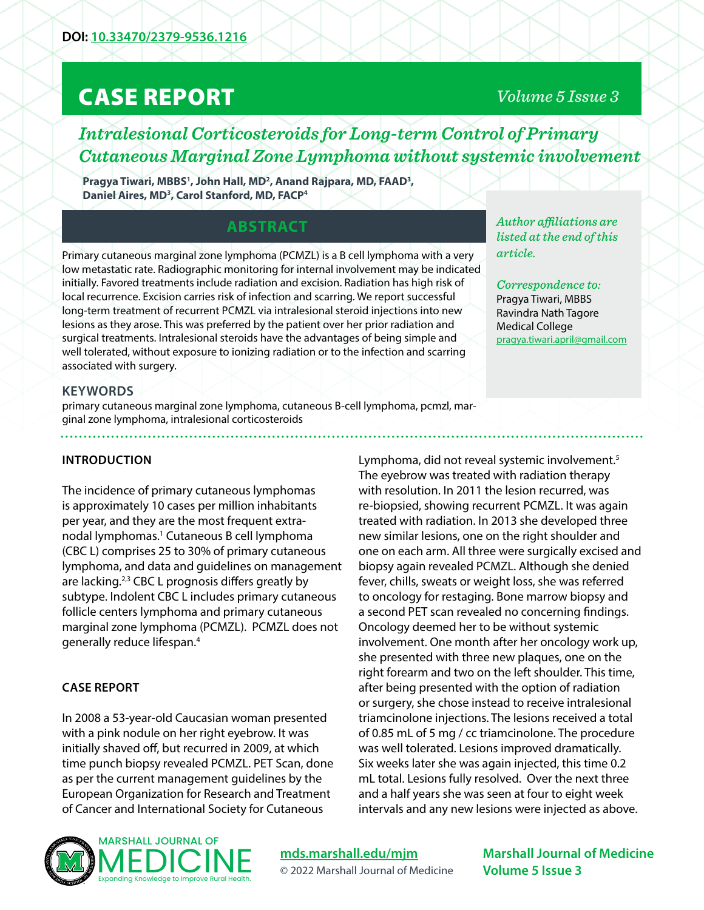# CASE REPORT

# *Volume 5 Issue 3*

*Intralesional Corticosteroids for Long-term Control of Primary Cutaneous Marginal Zone Lymphoma without systemic involvement*

Pragya Tiwari, MBBS<sup>1</sup>, John Hall, MD<sup>2</sup>, Anand Rajpara, MD, FAAD<sup>3</sup>, **Daniel Aires, MD3 , Carol Stanford, MD, FACP4**

# **ABSTRACT**

Primary cutaneous marginal zone lymphoma (PCMZL) is a B cell lymphoma with a very low metastatic rate. Radiographic monitoring for internal involvement may be indicated initially. Favored treatments include radiation and excision. Radiation has high risk of local recurrence. Excision carries risk of infection and scarring. We report successful long-term treatment of recurrent PCMZL via intralesional steroid injections into new lesions as they arose. This was preferred by the patient over her prior radiation and surgical treatments. Intralesional steroids have the advantages of being simple and well tolerated, without exposure to ionizing radiation or to the infection and scarring associated with surgery.

*Author affiliations are listed at the end of this article.* 

*Correspondence to:*  Pragya Tiwari, MBBS Ravindra Nath Tagore Medical College pragya.tiwari.april@gmail.com

## **KEYWORDS**

primary cutaneous marginal zone lymphoma, cutaneous B-cell lymphoma, pcmzl, marginal zone lymphoma, intralesional corticosteroids

#### **INTRODUCTION**

The incidence of primary cutaneous lymphomas is approximately 10 cases per million inhabitants per year, and they are the most frequent extranodal lymphomas.<sup>1</sup> Cutaneous B cell lymphoma (CBC L) comprises 25 to 30% of primary cutaneous lymphoma, and data and guidelines on management are lacking.<sup>2,3</sup> CBC L prognosis differs greatly by subtype. Indolent CBC L includes primary cutaneous follicle centers lymphoma and primary cutaneous marginal zone lymphoma (PCMZL). PCMZL does not generally reduce lifespan.4

#### **CASE REPORT**

In 2008 a 53-year-old Caucasian woman presented with a pink nodule on her right eyebrow. It was initially shaved off, but recurred in 2009, at which time punch biopsy revealed PCMZL. PET Scan, done as per the current management guidelines by the European Organization for Research and Treatment of Cancer and International Society for Cutaneous

Lymphoma, did not reveal systemic involvement.<sup>5</sup> The eyebrow was treated with radiation therapy with resolution. In 2011 the lesion recurred, was re-biopsied, showing recurrent PCMZL. It was again treated with radiation. In 2013 she developed three new similar lesions, one on the right shoulder and one on each arm. All three were surgically excised and biopsy again revealed PCMZL. Although she denied fever, chills, sweats or weight loss, she was referred to oncology for restaging. Bone marrow biopsy and a second PET scan revealed no concerning findings. Oncology deemed her to be without systemic involvement. One month after her oncology work up, she presented with three new plaques, one on the right forearm and two on the left shoulder. This time, after being presented with the option of radiation or surgery, she chose instead to receive intralesional triamcinolone injections. The lesions received a total of 0.85 mL of 5 mg / cc triamcinolone. The procedure was well tolerated. Lesions improved dramatically. Six weeks later she was again injected, this time 0.2 mL total. Lesions fully resolved. Over the next three and a half years she was seen at four to eight week intervals and any new lesions were injected as above.



**[mds.marshall.edu/mjm](https://mds.marshall.edu/mjm/)** © 2022 Marshall Journal of Medicine

**Marshall Journal of Medicine Volume 5 Issue 3**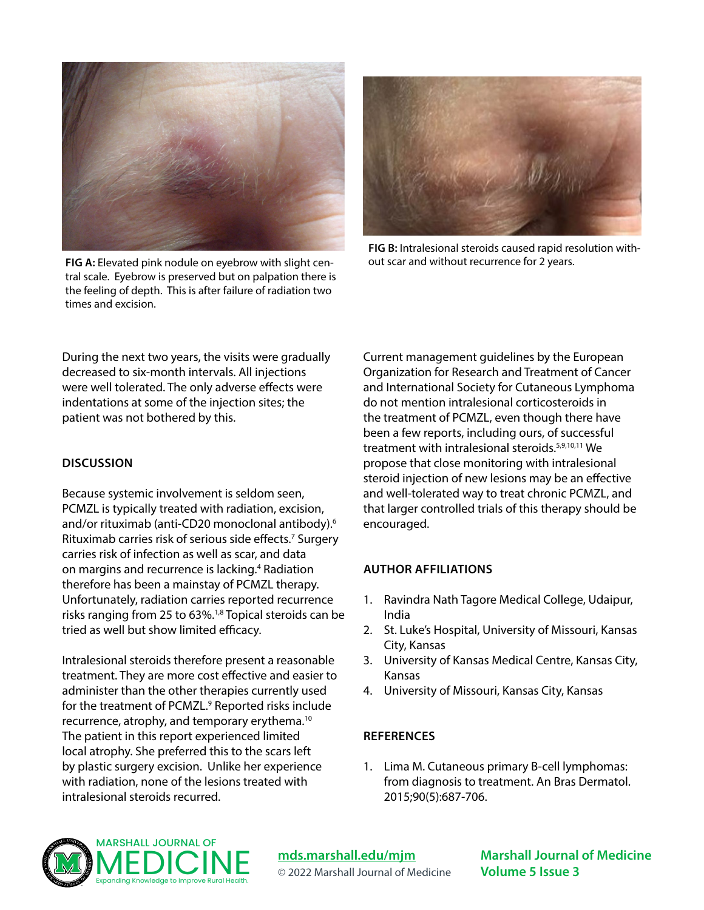

**FIG A:** Elevated pink nodule on eyebrow with slight central scale. Eyebrow is preserved but on palpation there is the feeling of depth. This is after failure of radiation two times and excision.



**FIG B:** Intralesional steroids caused rapid resolution without scar and without recurrence for 2 years.

During the next two years, the visits were gradually decreased to six-month intervals. All injections were well tolerated. The only adverse effects were indentations at some of the injection sites; the patient was not bothered by this.

#### **DISCUSSION**

Because systemic involvement is seldom seen, PCMZL is typically treated with radiation, excision, and/or rituximab (anti-CD20 monoclonal antibody).6 Rituximab carries risk of serious side effects.7 Surgery carries risk of infection as well as scar, and data on margins and recurrence is lacking.<sup>4</sup> Radiation therefore has been a mainstay of PCMZL therapy. Unfortunately, radiation carries reported recurrence risks ranging from 25 to 63%.1,8 Topical steroids can be tried as well but show limited efficacy.

Intralesional steroids therefore present a reasonable treatment. They are more cost effective and easier to administer than the other therapies currently used for the treatment of PCMZL.<sup>9</sup> Reported risks include recurrence, atrophy, and temporary erythema.10 The patient in this report experienced limited local atrophy. She preferred this to the scars left by plastic surgery excision. Unlike her experience with radiation, none of the lesions treated with intralesional steroids recurred.

Current management guidelines by the European Organization for Research and Treatment of Cancer and International Society for Cutaneous Lymphoma do not mention intralesional corticosteroids in the treatment of PCMZL, even though there have been a few reports, including ours, of successful treatment with intralesional steroids.<sup>5,9,10,11</sup> We propose that close monitoring with intralesional steroid injection of new lesions may be an effective and well-tolerated way to treat chronic PCMZL, and that larger controlled trials of this therapy should be encouraged.

## **AUTHOR AFFILIATIONS**

- 1. Ravindra Nath Tagore Medical College, Udaipur, India
- 2. St. Luke's Hospital, University of Missouri, Kansas City, Kansas
- 3. University of Kansas Medical Centre, Kansas City, Kansas
- 4. University of Missouri, Kansas City, Kansas

## **REFERENCES**

1. Lima M. Cutaneous primary B-cell lymphomas: from diagnosis to treatment. An Bras Dermatol. 2015;90(5):687-706.



**[mds.marshall.edu/mjm](https://mds.marshall.edu/mjm/)** © 2022 Marshall Journal of Medicine

**Marshall Journal of Medicine Volume 5 Issue 3**